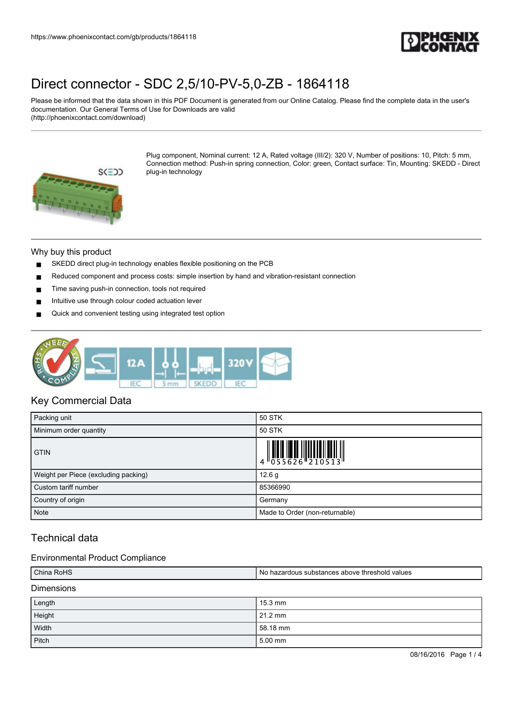

Please be informed that the data shown in this PDF Document is generated from our Online Catalog. Please find the complete data in the user's documentation. Our General Terms of Use for Downloads are valid (http://phoenixcontact.com/download)



Plug component, Nominal current: 12 A, Rated voltage (III/2): 320 V, Number of positions: 10, Pitch: 5 mm, Connection method: Push-in spring connection, Color: green, Contact surface: Tin, Mounting: SKEDD - Direct plug-in technology

### Why buy this product

- SKEDD direct plug-in technology enables flexible positioning on the PCB
- Reduced component and process costs: simple insertion by hand and vibration-resistant connection
- Time saving push-in connection, tools not required
- Intuitive use through colour coded actuation lever
- Quick and convenient testing using integrated test option



### Key Commercial Data

| Packing unit                         | 50 STK                         |  |
|--------------------------------------|--------------------------------|--|
| Minimum order quantity               | 50 STK                         |  |
| <b>GTIN</b>                          |                                |  |
| Weight per Piece (excluding packing) | 12.6 g                         |  |
| Custom tariff number                 | 85366990                       |  |
| Country of origin                    | Germany                        |  |
| <b>Note</b>                          | Made to Order (non-returnable) |  |

## Technical data

### Environmental Product Compliance

| China RoHS        | No hazardous substances above threshold values |  |
|-------------------|------------------------------------------------|--|
| <b>Dimensions</b> |                                                |  |
| Length            | $15.3 \text{ mm}$                              |  |
| Height            | $21.2$ mm                                      |  |
| Width             | 58.18 mm                                       |  |
| Pitch             | 5.00 mm                                        |  |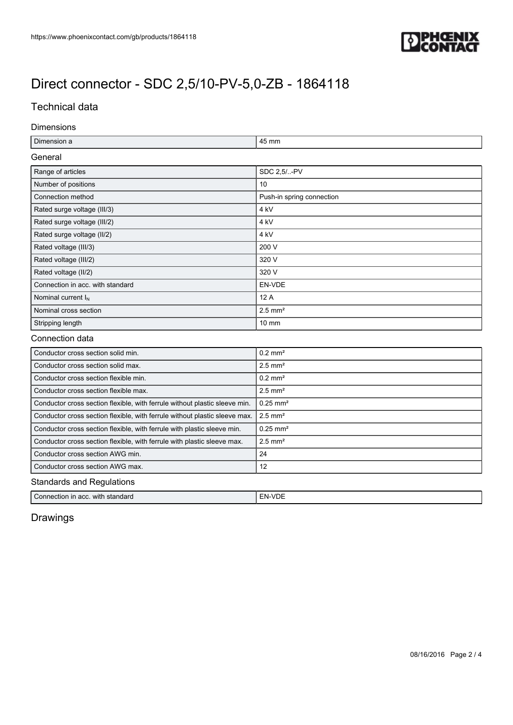

## Technical data

### Dimensions

| Ē.           | 45 mm |
|--------------|-------|
| ∽<br>------- |       |

## Range of articles SDC 2,5/..-PV Number of positions 10 Connection method **Push-in spring connection** Rated surge voltage (III/3) 4 kV Rated surge voltage (III/2) 4 kV Rated surge voltage (II/2) 4 kV Rated voltage (III/3) 200 V Rated voltage (III/2) 320 V Rated voltage (II/2) 320 V Connection in acc. with standard **EN-VDE** Nominal current  $I_N$  12 A Nominal cross section 2.5 mm<sup>2</sup> Stripping length **10 mm**

### Connection data

| Conductor cross section solid min.                                         | $0.2$ mm <sup>2</sup>  |
|----------------------------------------------------------------------------|------------------------|
| Conductor cross section solid max.                                         | $2.5$ mm <sup>2</sup>  |
| Conductor cross section flexible min.                                      | $0.2$ mm <sup>2</sup>  |
| Conductor cross section flexible max.                                      | $2.5$ mm <sup>2</sup>  |
| Conductor cross section flexible, with ferrule without plastic sleeve min. | $0.25$ mm <sup>2</sup> |
| Conductor cross section flexible, with ferrule without plastic sleeve max. | $2.5$ mm <sup>2</sup>  |
| Conductor cross section flexible, with ferrule with plastic sleeve min.    | $0.25$ mm <sup>2</sup> |
| Conductor cross section flexible, with ferrule with plastic sleeve max.    | $2.5$ mm <sup>2</sup>  |
| Conductor cross section AWG min.                                           | 24                     |
| Conductor cross section AWG max.                                           | 12                     |
|                                                                            |                        |

### Standards and Regulations

| $\overline{C}$<br>with<br>standard<br>Conner<br>n acc.<br>ection in | $\sim$<br><b>EN-VDE</b> |
|---------------------------------------------------------------------|-------------------------|
|                                                                     |                         |

## Drawings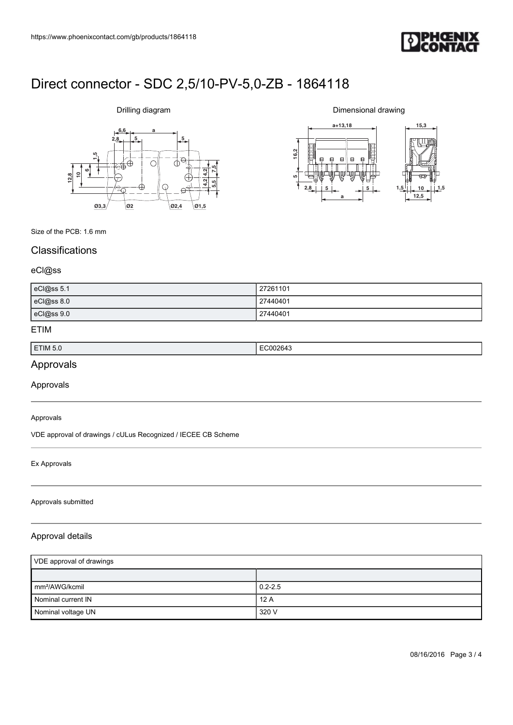

# **6,6 a**  $2,8$   $5$ **612,810 1,5 7,5 5,5 4,2 4,2 Ø3,3 Ø2 Ø2,4 Ø1,5**

Drilling diagram

Dimensional drawing



Size of the PCB: 1.6 mm

## **Classifications**

### eCl@ss

| eCl@ss 5.1 | 27261101 |
|------------|----------|
| eCl@ss 8.0 | 27440401 |
| eCl@ss 9.0 | 27440401 |

### ETIM

| ETIM 5.0 | . .<br>. |
|----------|----------|
|          |          |

## Approvals

Approvals

### Approvals

VDE approval of drawings / cULus Recognized / IECEE CB Scheme

### Ex Approvals

### Approvals submitted

### Approval details

| VDE approval of drawings   |             |
|----------------------------|-------------|
|                            |             |
| mm <sup>2</sup> /AWG/kcmil | $0.2 - 2.5$ |
| Nominal current IN         | 12A         |
| Nominal voltage UN         | 320 V       |